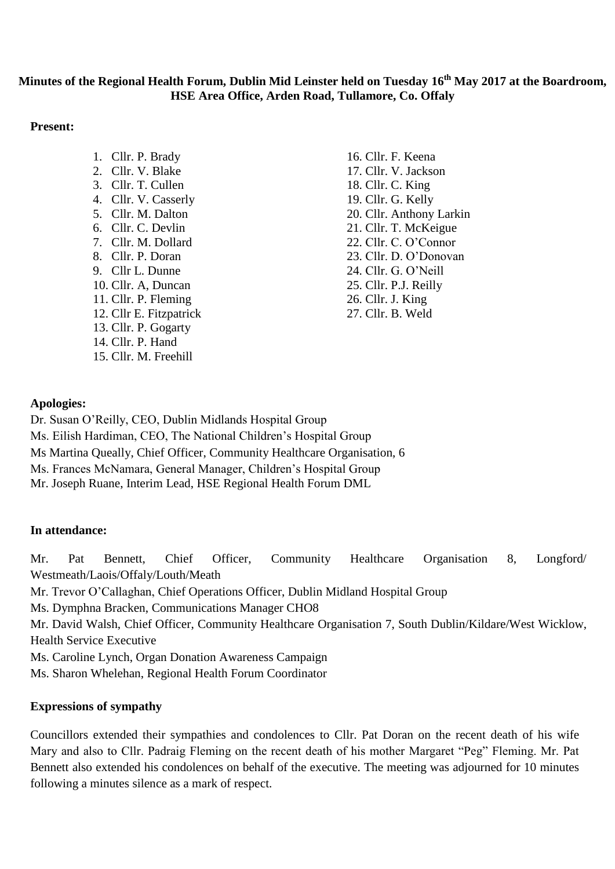# **Minutes of the Regional Health Forum, Dublin Mid Leinster held on Tuesday 16th May 2017 at the Boardroom, HSE Area Office, Arden Road, Tullamore, Co. Offaly**

### **Present:**

1. Cllr. P. Brady 2. Cllr. V. Blake 3. Cllr. T. Cullen 4. Cllr. V. Casserly 5. Cllr. M. Dalton 6. Cllr. C. Devlin 7. Cllr. M. Dollard 8. Cllr. P. Doran 9. Cllr L. Dunne 10. Cllr. A, Duncan 11. Cllr. P. Fleming 12. Cllr E. Fitzpatrick 13. Cllr. P. Gogarty 14. Cllr. P. Hand 15. Cllr. M. Freehill

16. Cllr. F. Keena 17. Cllr. V. Jackson 18. Cllr. C. King 19. Cllr. G. Kelly 20. Cllr. Anthony Larkin 21. Cllr. T. McKeigue 22. Cllr. C. O'Connor 23. Cllr. D. O'Donovan 24. Cllr. G. O'Neill 25. Cllr. P.J. Reilly 26. Cllr. J. King 27. Cllr. B. Weld

# **Apologies:**

Dr. Susan O'Reilly, CEO, Dublin Midlands Hospital Group Ms. Eilish Hardiman, CEO, The National Children's Hospital Group Ms Martina Queally, Chief Officer, Community Healthcare Organisation, 6 Ms. Frances McNamara, General Manager, Children's Hospital Group

Mr. Joseph Ruane, Interim Lead, HSE Regional Health Forum DML

# **In attendance:**

Mr. Pat Bennett, Chief Officer, Community Healthcare Organisation 8, Longford/ Westmeath/Laois/Offaly/Louth/Meath Mr. Trevor O'Callaghan, Chief Operations Officer, Dublin Midland Hospital Group Ms. Dymphna Bracken, Communications Manager CHO8 Mr. David Walsh, Chief Officer, Community Healthcare Organisation 7, South Dublin/Kildare/West Wicklow, Health Service Executive Ms. Caroline Lynch, Organ Donation Awareness Campaign Ms. Sharon Whelehan, Regional Health Forum Coordinator

# **Expressions of sympathy**

Councillors extended their sympathies and condolences to Cllr. Pat Doran on the recent death of his wife Mary and also to Cllr. Padraig Fleming on the recent death of his mother Margaret "Peg" Fleming. Mr. Pat Bennett also extended his condolences on behalf of the executive. The meeting was adjourned for 10 minutes following a minutes silence as a mark of respect.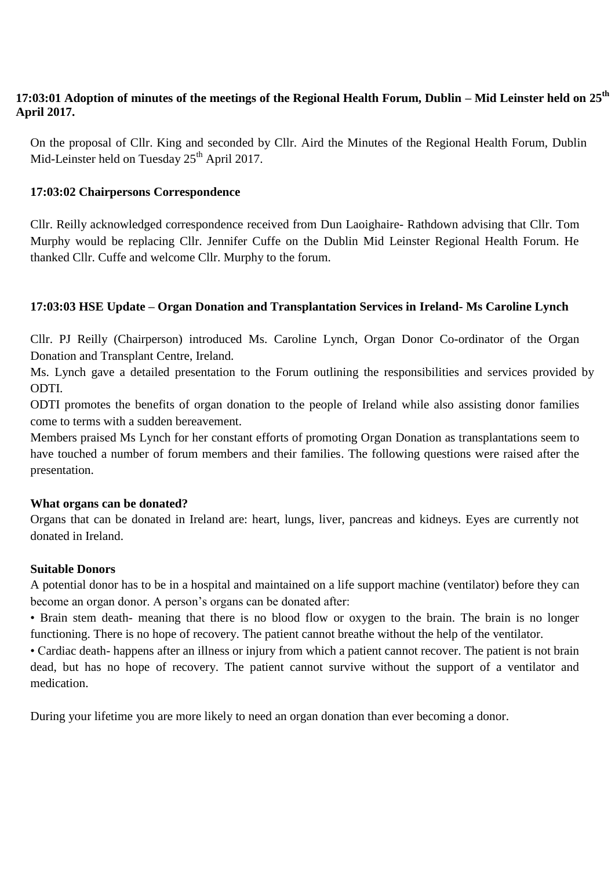# **17:03:01 Adoption of minutes of the meetings of the Regional Health Forum, Dublin – Mid Leinster held on 25th April 2017.**

On the proposal of Cllr. King and seconded by Cllr. Aird the Minutes of the Regional Health Forum, Dublin Mid-Leinster held on Tuesday  $25<sup>th</sup>$  April 2017.

# **17:03:02 Chairpersons Correspondence**

Cllr. Reilly acknowledged correspondence received from Dun Laoighaire- Rathdown advising that Cllr. Tom Murphy would be replacing Cllr. Jennifer Cuffe on the Dublin Mid Leinster Regional Health Forum. He thanked Cllr. Cuffe and welcome Cllr. Murphy to the forum.

### **17:03:03 HSE Update – Organ Donation and Transplantation Services in Ireland- Ms Caroline Lynch**

Cllr. PJ Reilly (Chairperson) introduced Ms. Caroline Lynch, Organ Donor Co-ordinator of the Organ Donation and Transplant Centre, Ireland.

Ms. Lynch gave a detailed presentation to the Forum outlining the responsibilities and services provided by ODTI.

ODTI promotes the benefits of organ donation to the people of Ireland while also assisting donor families come to terms with a sudden bereavement.

Members praised Ms Lynch for her constant efforts of promoting Organ Donation as transplantations seem to have touched a number of forum members and their families. The following questions were raised after the presentation.

#### **What organs can be donated?**

Organs that can be donated in Ireland are: heart, lungs, liver, pancreas and kidneys. Eyes are currently not donated in Ireland.

#### **Suitable Donors**

A potential donor has to be in a hospital and maintained on a life support machine (ventilator) before they can become an organ donor. A person's organs can be donated after:

• Brain stem death- meaning that there is no blood flow or oxygen to the brain. The brain is no longer functioning. There is no hope of recovery. The patient cannot breathe without the help of the ventilator.

• Cardiac death- happens after an illness or injury from which a patient cannot recover. The patient is not brain dead, but has no hope of recovery. The patient cannot survive without the support of a ventilator and medication.

During your lifetime you are more likely to need an organ donation than ever becoming a donor.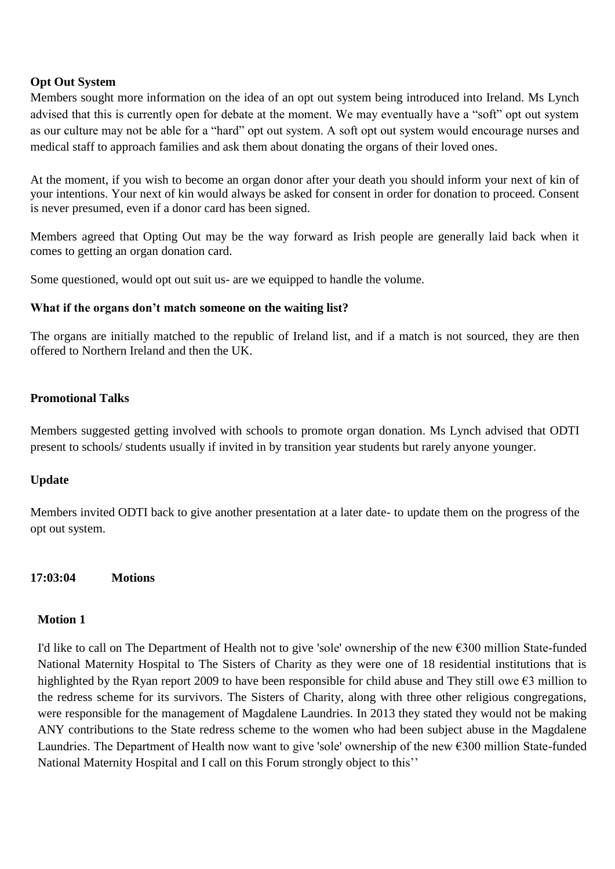### **Opt Out System**

Members sought more information on the idea of an opt out system being introduced into Ireland. Ms Lynch advised that this is currently open for debate at the moment. We may eventually have a "soft" opt out system as our culture may not be able for a "hard" opt out system. A soft opt out system would encourage nurses and medical staff to approach families and ask them about donating the organs of their loved ones.

At the moment, if you wish to become an organ donor after your death you should inform your next of kin of your intentions. Your next of kin would always be asked for consent in order for donation to proceed. Consent is never presumed, even if a donor card has been signed.

Members agreed that Opting Out may be the way forward as Irish people are generally laid back when it comes to getting an organ donation card.

Some questioned, would opt out suit us- are we equipped to handle the volume.

### **What if the organs don't match someone on the waiting list?**

The organs are initially matched to the republic of Ireland list, and if a match is not sourced, they are then offered to Northern Ireland and then the UK.

# **Promotional Talks**

Members suggested getting involved with schools to promote organ donation. Ms Lynch advised that ODTI present to schools/ students usually if invited in by transition year students but rarely anyone younger.

#### **Update**

Members invited ODTI back to give another presentation at a later date- to update them on the progress of the opt out system.

#### **17:03:04 Motions**

#### **Motion 1**

I'd like to call on The Department of Health not to give 'sole' ownership of the new €300 million State-funded National Maternity Hospital to The Sisters of Charity as they were one of 18 residential institutions that is highlighted by the Ryan report 2009 to have been responsible for child abuse and They still owe €3 million to the redress scheme for its survivors. The Sisters of Charity, along with three other religious congregations, were responsible for the management of Magdalene Laundries. In 2013 they stated they would not be making ANY contributions to the State redress scheme to the women who had been subject abuse in the Magdalene Laundries. The Department of Health now want to give 'sole' ownership of the new €300 million State-funded National Maternity Hospital and I call on this Forum strongly object to this''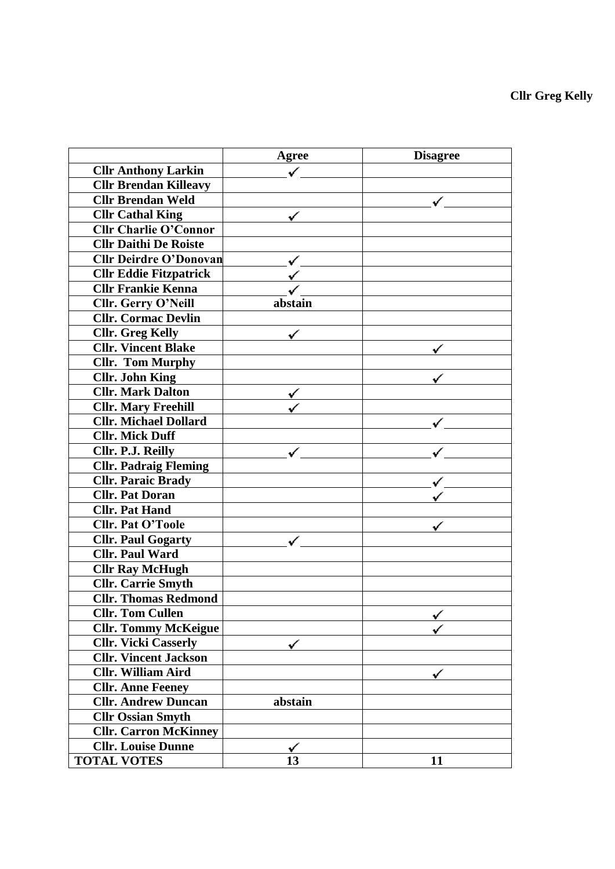|                               | <b>Agree</b> | <b>Disagree</b> |
|-------------------------------|--------------|-----------------|
| <b>Cllr Anthony Larkin</b>    |              |                 |
| <b>Cllr Brendan Killeavy</b>  |              |                 |
| <b>Cllr Brendan Weld</b>      |              |                 |
| <b>Cllr Cathal King</b>       |              |                 |
| <b>Cllr Charlie O'Connor</b>  |              |                 |
| <b>Cllr Daithi De Roiste</b>  |              |                 |
| <b>Cllr Deirdre O'Donovan</b> |              |                 |
| <b>Cllr Eddie Fitzpatrick</b> |              |                 |
| <b>Cllr Frankie Kenna</b>     |              |                 |
| Cllr. Gerry O'Neill           | abstain      |                 |
| <b>Cllr. Cormac Devlin</b>    |              |                 |
| <b>Cllr.</b> Greg Kelly       |              |                 |
| <b>Cllr. Vincent Blake</b>    |              |                 |
| <b>Cllr. Tom Murphy</b>       |              |                 |
| <b>Cllr. John King</b>        |              |                 |
| <b>Cllr. Mark Dalton</b>      |              |                 |
| <b>Cllr. Mary Freehill</b>    |              |                 |
| <b>Cllr. Michael Dollard</b>  |              |                 |
| <b>Cllr. Mick Duff</b>        |              |                 |
| Cllr. P.J. Reilly             |              |                 |
| <b>Cllr. Padraig Fleming</b>  |              |                 |
| <b>Cllr. Paraic Brady</b>     |              |                 |
| <b>Cllr. Pat Doran</b>        |              |                 |
| <b>Cllr. Pat Hand</b>         |              |                 |
| <b>Cllr. Pat O'Toole</b>      |              |                 |
| <b>Cllr. Paul Gogarty</b>     |              |                 |
| <b>Cllr. Paul Ward</b>        |              |                 |
| <b>Cllr Ray McHugh</b>        |              |                 |
| <b>Cllr.</b> Carrie Smyth     |              |                 |
| <b>Cllr. Thomas Redmond</b>   |              |                 |
| <b>Cllr. Tom Cullen</b>       |              |                 |
| <b>Cllr. Tommy McKeigue</b>   |              |                 |
| <b>Cllr. Vicki Casserly</b>   |              |                 |
| <b>Cllr. Vincent Jackson</b>  |              |                 |
| <b>Cllr. William Aird</b>     |              |                 |
| <b>Cllr. Anne Feeney</b>      |              |                 |
| <b>Cllr. Andrew Duncan</b>    | abstain      |                 |
| <b>Cllr Ossian Smyth</b>      |              |                 |
| <b>Cllr. Carron McKinney</b>  |              |                 |
| <b>Cllr.</b> Louise Dunne     |              |                 |
| <b>TOTAL VOTES</b>            | 13           | 11              |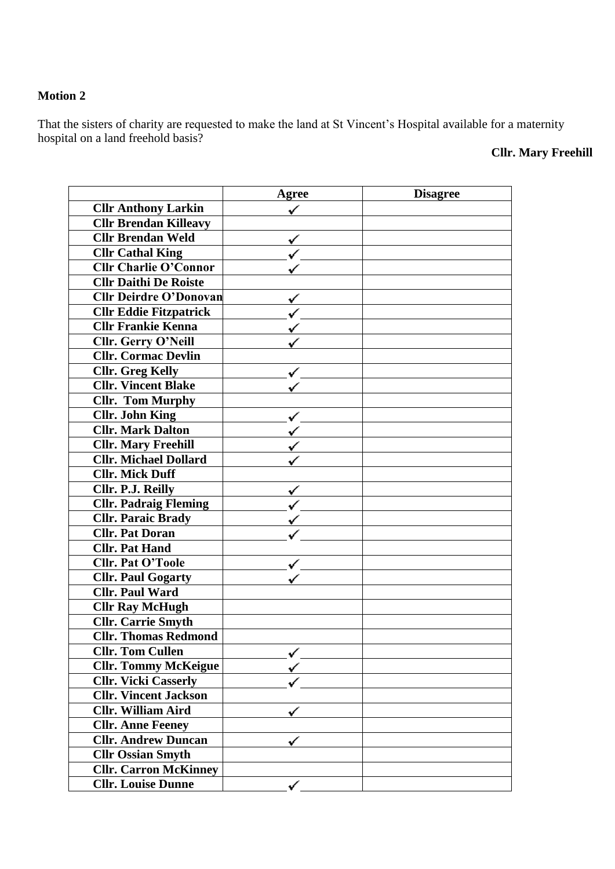### **Motion 2**

That the sisters of charity are requested to make the land at St Vincent's Hospital available for a maternity hospital on a land freehold basis?

# **Cllr. Mary Freehill**

|                               | Agree | <b>Disagree</b> |
|-------------------------------|-------|-----------------|
| <b>Cllr Anthony Larkin</b>    |       |                 |
| <b>Cllr Brendan Killeavy</b>  |       |                 |
| <b>Cllr Brendan Weld</b>      |       |                 |
| <b>Cllr Cathal King</b>       |       |                 |
| <b>Cllr Charlie O'Connor</b>  |       |                 |
| <b>Cllr Daithi De Roiste</b>  |       |                 |
| <b>Cllr Deirdre O'Donovan</b> |       |                 |
| <b>Cllr Eddie Fitzpatrick</b> |       |                 |
| <b>Cllr Frankie Kenna</b>     |       |                 |
| Cllr. Gerry O'Neill           |       |                 |
| <b>Cllr. Cormac Devlin</b>    |       |                 |
| <b>Cllr.</b> Greg Kelly       |       |                 |
| <b>Cllr. Vincent Blake</b>    |       |                 |
| <b>Cllr.</b> Tom Murphy       |       |                 |
| <b>Cllr. John King</b>        |       |                 |
| <b>Cllr. Mark Dalton</b>      |       |                 |
| <b>Cllr. Mary Freehill</b>    |       |                 |
| <b>Cllr. Michael Dollard</b>  |       |                 |
| <b>Cllr. Mick Duff</b>        |       |                 |
| Cllr. P.J. Reilly             |       |                 |
| <b>Cllr. Padraig Fleming</b>  |       |                 |
| <b>Cllr. Paraic Brady</b>     |       |                 |
| <b>Cllr. Pat Doran</b>        |       |                 |
| <b>Cllr. Pat Hand</b>         |       |                 |
| <b>Cllr. Pat O'Toole</b>      |       |                 |
| <b>Cllr. Paul Gogarty</b>     |       |                 |
| <b>Cllr. Paul Ward</b>        |       |                 |
| <b>Cllr Ray McHugh</b>        |       |                 |
| <b>Cllr.</b> Carrie Smyth     |       |                 |
| <b>Cllr. Thomas Redmond</b>   |       |                 |
| <b>Cllr. Tom Cullen</b>       |       |                 |
| <b>Cllr. Tommy McKeigue</b>   |       |                 |
| <b>Cllr. Vicki Casserly</b>   |       |                 |
| <b>Cllr. Vincent Jackson</b>  |       |                 |
| <b>Cllr. William Aird</b>     |       |                 |
| <b>Cllr. Anne Feeney</b>      |       |                 |
| <b>Cllr. Andrew Duncan</b>    |       |                 |
| <b>Cllr Ossian Smyth</b>      |       |                 |
| <b>Cllr. Carron McKinney</b>  |       |                 |
| <b>Cllr.</b> Louise Dunne     |       |                 |